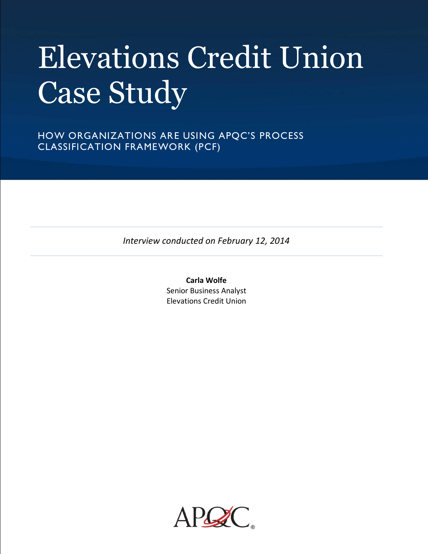# Elevations Credit Union Case Study

HOW ORGANIZATIONS ARE USING APQC'S PROCESS CLASSIFICATION FRAMEWORK (PCF)

*Interview conducted on February 12, 2014*

**Carla Wolfe** Senior Business Analyst Elevations Credit Union

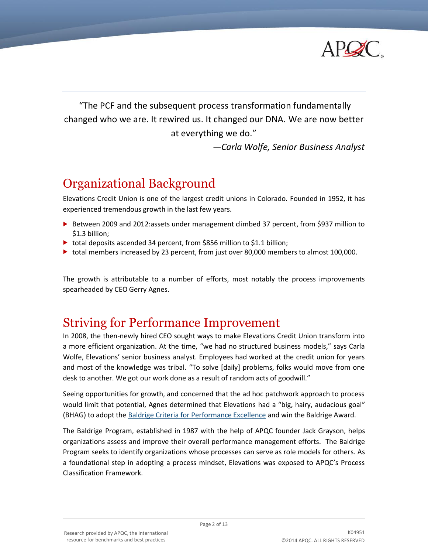

"The PCF and the subsequent process transformation fundamentally changed who we are. It rewired us. It changed our DNA*.* We are now better at everything we do."

*—Carla Wolfe, Senior Business Analyst*

# Organizational Background

Elevations Credit Union is one of the largest credit unions in Colorado. Founded in 1952, it has experienced tremendous growth in the last few years.

- ▶ Between 2009 and 2012:assets under management climbed 37 percent, from \$937 million to \$1.3 billion;
- total deposits ascended 34 percent, from \$856 million to \$1.1 billion;
- total members increased by 23 percent, from just over 80,000 members to almost 100,000.

The growth is attributable to a number of efforts, most notably the process improvements spearheaded by CEO Gerry Agnes.

# Striving for Performance Improvement

In 2008, the then-newly hired CEO sought ways to make Elevations Credit Union transform into a more efficient organization. At the time, "we had no structured business models," says Carla Wolfe, Elevations' senior business analyst. Employees had worked at the credit union for years and most of the knowledge was tribal. "To solve [daily] problems, folks would move from one desk to another. We got our work done as a result of random acts of goodwill."

Seeing opportunities for growth, and concerned that the ad hoc patchwork approach to process would limit that potential, Agnes determined that Elevations had a "big, hairy, audacious goal" (BHAG) to adopt the [Baldrige Criteria for Performance Excellence](http://www.nist.gov/baldrige/) and win the Baldrige Award.

The Baldrige Program, established in 1987 with the help of APQC founder Jack Grayson, helps organizations assess and improve their overall performance management efforts. The Baldrige Program seeks to identify organizations whose processes can serve as role models for others. As a foundational step in adopting a process mindset, Elevations was exposed to APQC's Process Classification Framework.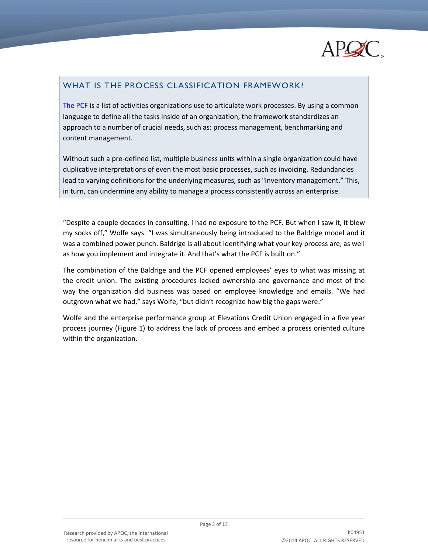

# WHAT IS THE PROCESS CLASSIFICATION FRAMEWORK?

[The PCF](http://www.apqc.org/process-classification-framework) is a list of activities organizations use to articulate work processes. By using a common language to define all the tasks inside of an organization, the framework standardizes an approach to a number of crucial needs, such as: process management, benchmarking and content management.

Without such a pre-defined list, multiple business units within a single organization could have duplicative interpretations of even the most basic processes, such as invoicing. Redundancies lead to varying definitions for the underlying measures, such as "inventory management." This, in turn, can undermine any ability to manage a process consistently across an enterprise.

"Despite a couple decades in consulting, I had no exposure to the PCF. But when I saw it, it blew my socks off," Wolfe says. "I was simultaneously being introduced to the Baldrige model and it was a combined power punch. Baldrige is all about identifying what your key process are, as well as how you implement and integrate it. And that's what the PCF is built on."

The combination of the Baldrige and the PCF opened employees' eyes to what was missing at the credit union. The existing procedures lacked ownership and governance and most of the way the organization did business was based on employee knowledge and emails. "We had outgrown what we had," says Wolfe, "but didn't recognize how big the gaps were."

Wolfe and the enterprise performance group at Elevations Credit Union engaged in a five year process journey (Figure 1) to address the lack of process and embed a process oriented culture within the organization.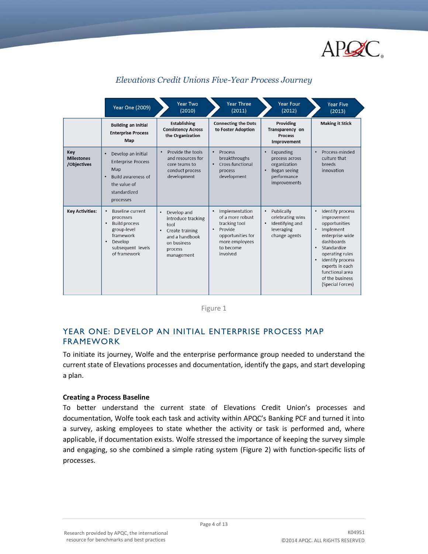

|                                         | Year One (2009)                                                                                                                                                          | Year Two<br>(2010)                                                                                                                               | <b>Year Three</b><br>(2011)                                                                                                                 | <b>Year Four</b><br>(2012)                                                                                           | <b>Year Five</b><br>(2013)                                                                                                                                                                                                                                               |
|-----------------------------------------|--------------------------------------------------------------------------------------------------------------------------------------------------------------------------|--------------------------------------------------------------------------------------------------------------------------------------------------|---------------------------------------------------------------------------------------------------------------------------------------------|----------------------------------------------------------------------------------------------------------------------|--------------------------------------------------------------------------------------------------------------------------------------------------------------------------------------------------------------------------------------------------------------------------|
|                                         | <b>Building an Initial</b><br><b>Enterprise Process</b><br>Map                                                                                                           | <b>Establishing</b><br><b>Consistency Across</b><br>the Organization                                                                             | <b>Connecting the Dots</b><br>to Foster Adoption                                                                                            | Providing<br>Transparency on<br><b>Process</b><br>Improvement                                                        | <b>Making it Stick</b>                                                                                                                                                                                                                                                   |
| Key<br><b>Milestones</b><br>/Objectives | Develop an initial<br>$\bullet$<br><b>Enterprise Process</b><br>Map<br>Build awareness of<br>$\bullet$<br>the value of<br>standardized<br>processes                      | Provide the tools<br>$\bullet$<br>and resources for<br>core teams to<br>conduct process<br>development                                           | Process<br>$\bullet$<br>breakthroughs<br>Cross-functional<br>$\bullet$<br>process<br>development                                            | Expanding<br>$\bullet$<br>process across<br>organization<br>Began seeing<br>$\bullet$<br>performance<br>improvements | Process-minded<br>$\bullet$<br>culture that<br>breeds<br>innovation                                                                                                                                                                                                      |
| <b>Key Activities:</b>                  | Baseline current<br>$\bullet$<br>processes<br><b>Build process</b><br>$\bullet$<br>group-level<br>framework<br>Develop<br>$\bullet$<br>subsequent levels<br>of framework | Develop and<br>$\bullet$<br>introduce tracking<br>tool<br>Create training<br>$\bullet$<br>and a handbook<br>on business<br>process<br>management | Implementation<br>of a more robust<br>tracking tool<br>Provide<br>$\bullet$<br>opportunities for<br>more employees<br>to become<br>involved | Publically<br>٠<br>celebrating wins<br>Identifying and<br>٠<br>leveraging<br>change agents                           | Identify process<br>improvement<br>opportunities<br>Implement<br>$\bullet$<br>enterprise-wide<br>dashboards<br>Standardize<br>$\bullet$<br>operating rules<br>Identify process<br>$\bullet$<br>experts in each<br>functional area<br>of the business<br>(Special Forces) |

# *Elevations Credit Unions Five-Year Process Journey*



# YEAR ONE: DEVELOP AN INITIAL ENTERPRISE PROCESS MAP FRAMEWORK

To initiate its journey, Wolfe and the enterprise performance group needed to understand the current state of Elevations processes and documentation, identify the gaps, and start developing a plan.

#### **Creating a Process Baseline**

To better understand the current state of Elevations Credit Union's processes and documentation, Wolfe took each task and activity within APQC's Banking PCF and turned it into a survey, asking employees to state whether the activity or task is performed and, where applicable, if documentation exists. Wolfe stressed the importance of keeping the survey simple and engaging, so she combined a simple rating system (Figure 2) with function-specific lists of processes.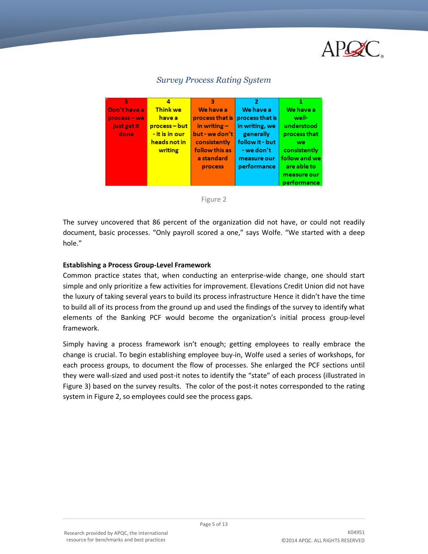



## *Survey Process Rating System*



The survey uncovered that 86 percent of the organization did not have, or could not readily document, basic processes. "Only payroll scored a one," says Wolfe. "We started with a deep hole."

#### **Establishing a Process Group-Level Framework**

Common practice states that, when conducting an enterprise-wide change, one should start simple and only prioritize a few activities for improvement. Elevations Credit Union did not have the luxury of taking several years to build its process infrastructure Hence it didn't have the time to build all of its process from the ground up and used the findings of the survey to identify what elements of the Banking PCF would become the organization's initial process group-level framework.

Simply having a process framework isn't enough; getting employees to really embrace the change is crucial. To begin establishing employee buy-in, Wolfe used a series of workshops, for each process groups, to document the flow of processes. She enlarged the PCF sections until they were wall-sized and used post-it notes to identify the "state" of each process (illustrated in Figure 3) based on the survey results. The color of the post-it notes corresponded to the rating system in Figure 2, so employees could see the process gaps.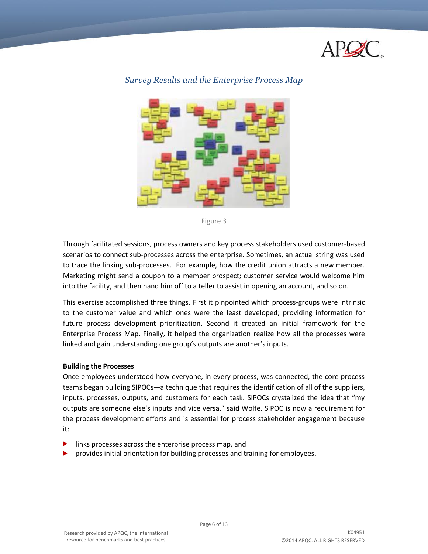



#### *Survey Results and the Enterprise Process Map*



Through facilitated sessions, process owners and key process stakeholders used customer-based scenarios to connect sub-processes across the enterprise. Sometimes, an actual string was used to trace the linking sub-processes. For example, how the credit union attracts a new member. Marketing might send a coupon to a member prospect; customer service would welcome him into the facility, and then hand him off to a teller to assist in opening an account, and so on.

This exercise accomplished three things. First it pinpointed which process-groups were intrinsic to the customer value and which ones were the least developed; providing information for future process development prioritization. Second it created an initial framework for the Enterprise Process Map. Finally, it helped the organization realize how all the processes were linked and gain understanding one group's outputs are another's inputs.

#### **Building the Processes**

Once employees understood how everyone, in every process, was connected, the core process teams began building SIPOCs—a technique that requires the identification of all of the suppliers, inputs, processes, outputs, and customers for each task. SIPOCs crystalized the idea that "my outputs are someone else's inputs and vice versa," said Wolfe. SIPOC is now a requirement for the process development efforts and is essential for process stakeholder engagement because it:

- links processes across the enterprise process map, and
- provides initial orientation for building processes and training for employees.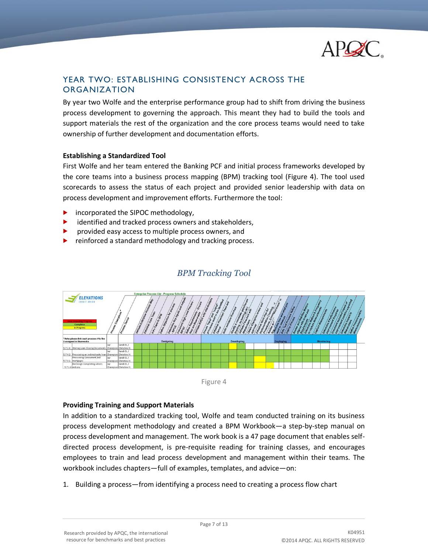

# YEAR TWO: ESTABLISHING CONSISTENCY ACROSS THE ORGANIZATION

By year two Wolfe and the enterprise performance group had to shift from driving the business process development to governing the approach. This meant they had to build the tools and support materials the rest of the organization and the core process teams would need to take ownership of further development and documentation efforts.

#### **Establishing a Standardized Tool**

First Wolfe and her team entered the Banking PCF and initial process frameworks developed by the core teams into a business process mapping (BPM) tracking tool (Figure 4). The tool used scorecards to assess the status of each project and provided senior leadership with data on process development and improvement efforts. Furthermore the tool:

- **F** incorporated the SIPOC methodology,
- identified and tracked process owners and stakeholders,
- provided easy access to multiple process owners, and
- reinforced a standard methodology and tracking process.



## *BPM Tracking Tool*



#### **Providing Training and Support Materials**

In addition to a standardized tracking tool, Wolfe and team conducted training on its business process development methodology and created a BPM Workbook—a step-by-step manual on process development and management. The work book is a 47 page document that enables selfdirected process development, is pre-requisite reading for training classes, and encourages employees to train and lead process development and management within their teams. The workbook includes chapters—full of examples, templates, and advice—on:

1. Building a process—from identifying a process need to creating a process flow chart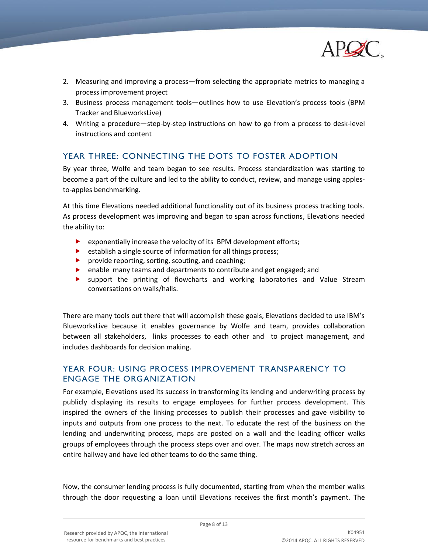

- 2. Measuring and improving a process—from selecting the appropriate metrics to managing a process improvement project
- 3. Business process management tools—outlines how to use Elevation's process tools (BPM Tracker and BlueworksLive)
- 4. Writing a procedure—step-by-step instructions on how to go from a process to desk-level instructions and content

# YEAR THREE: CONNECTING THE DOTS TO FOSTER ADOPTION

By year three, Wolfe and team began to see results. Process standardization was starting to become a part of the culture and led to the ability to conduct, review, and manage using applesto-apples benchmarking.

At this time Elevations needed additional functionality out of its business process tracking tools. As process development was improving and began to span across functions, Elevations needed the ability to:

- $\blacktriangleright$  exponentially increase the velocity of its BPM development efforts;
- **EXECUTE:** establish a single source of information for all things process;
- **P** provide reporting, sorting, scouting, and coaching;
- **EXECUTE:** enable many teams and departments to contribute and get engaged; and
- support the printing of flowcharts and working laboratories and Value Stream conversations on walls/halls.

There are many tools out there that will accomplish these goals, Elevations decided to use IBM's BlueworksLive because it enables governance by Wolfe and team, provides collaboration between all stakeholders, links processes to each other and to project management, and includes dashboards for decision making.

# YEAR FOUR: USING PROCESS IMPROVEMENT TRANSPARENCY TO ENGAGE THE ORGANIZATION

For example, Elevations used its success in transforming its lending and underwriting process by publicly displaying its results to engage employees for further process development. This inspired the owners of the linking processes to publish their processes and gave visibility to inputs and outputs from one process to the next. To educate the rest of the business on the lending and underwriting process, maps are posted on a wall and the leading officer walks groups of employees through the process steps over and over. The maps now stretch across an entire hallway and have led other teams to do the same thing.

Now, the consumer lending process is fully documented, starting from when the member walks through the door requesting a loan until Elevations receives the first month's payment. The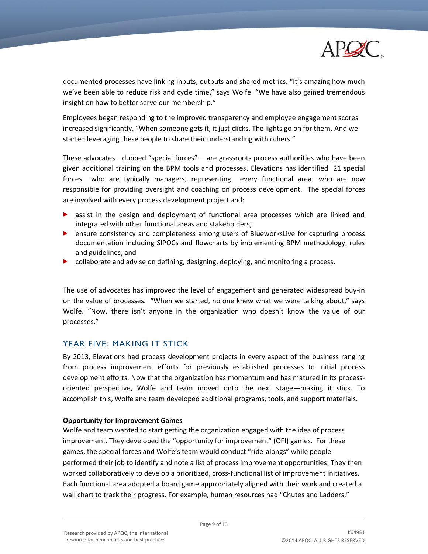

documented processes have linking inputs, outputs and shared metrics. "It's amazing how much we've been able to reduce risk and cycle time," says Wolfe. "We have also gained tremendous insight on how to better serve our membership."

Employees began responding to the improved transparency and employee engagement scores increased significantly. "When someone gets it, it just clicks. The lights go on for them. And we started leveraging these people to share their understanding with others."

These advocates—dubbed "special forces"— are grassroots process authorities who have been given additional training on the BPM tools and processes. Elevations has identified 21 special forces who are typically managers, representing every functional area—who are now responsible for providing oversight and coaching on process development. The special forces are involved with every process development project and:

- assist in the design and deployment of functional area processes which are linked and integrated with other functional areas and stakeholders;
- **EXECUTE:** ensure consistency and completeness among users of BlueworksLive for capturing process documentation including SIPOCs and flowcharts by implementing BPM methodology, rules and guidelines; and
- **D** collaborate and advise on defining, designing, deploying, and monitoring a process.

The use of advocates has improved the level of engagement and generated widespread buy-in on the value of processes. "When we started, no one knew what we were talking about," says Wolfe. "Now, there isn't anyone in the organization who doesn't know the value of our processes."

# YEAR FIVE: MAKING IT STICK

By 2013, Elevations had process development projects in every aspect of the business ranging from process improvement efforts for previously established processes to initial process development efforts. Now that the organization has momentum and has matured in its processoriented perspective, Wolfe and team moved onto the next stage—making it stick. To accomplish this, Wolfe and team developed additional programs, tools, and support materials.

#### **Opportunity for Improvement Games**

Wolfe and team wanted to start getting the organization engaged with the idea of process improvement. They developed the "opportunity for improvement" (OFI) games. For these games, the special forces and Wolfe's team would conduct "ride-alongs" while people performed their job to identify and note a list of process improvement opportunities. They then worked collaboratively to develop a prioritized, cross-functional list of improvement initiatives. Each functional area adopted a board game appropriately aligned with their work and created a wall chart to track their progress. For example, human resources had "Chutes and Ladders,"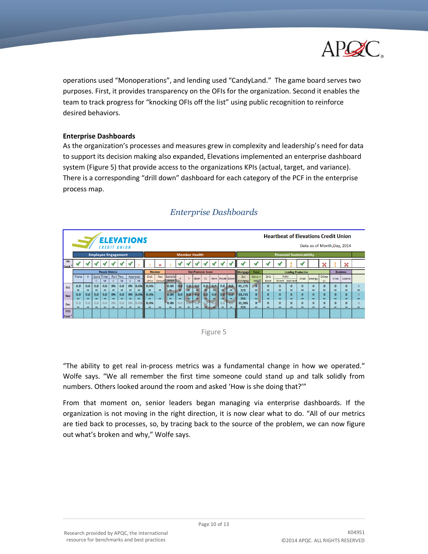

operations used "Monoperations", and lending used "CandyLand." The game board serves two purposes. First, it provides transparency on the OFIs for the organization. Second it enables the team to track progress for "knocking OFIs off the list" using public recognition to reinforce desired behaviors.

#### **Enterprise Dashboards**

As the organization's processes and measures grew in complexity and leadership's need for data to support its decision making also expanded, Elevations implemented an enterprise dashboard system (Figure 5) that provide access to the organizations KPIs (actual, target, and variance). There is a corresponding "drill down" dashboard for each category of the PCF in the enterprise process map.



## *Enterprise Dashboards*



"The ability to get real in-process metrics was a fundamental change in how we operated." Wolfe says. "We all remember the first time someone could stand up and talk solidly from numbers. Others looked around the room and asked 'How is she doing that?'"

From that moment on, senior leaders began managing via enterprise dashboards. If the organization is not moving in the right direction, it is now clear what to do. "All of our metrics are tied back to processes, so, by tracing back to the source of the problem, we can now figure out what's broken and why," Wolfe says.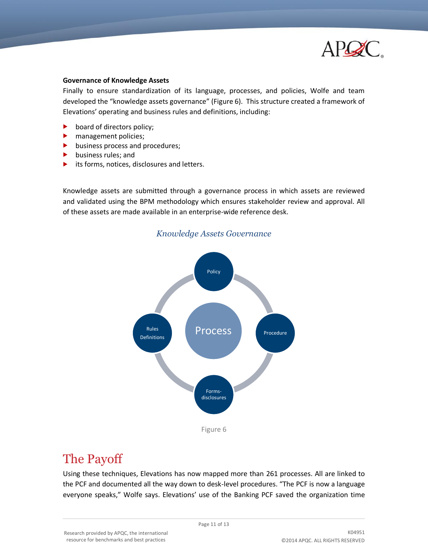

#### **Governance of Knowledge Assets**

Finally to ensure standardization of its language, processes, and policies, Wolfe and team developed the "knowledge assets governance" (Figure 6). This structure created a framework of Elevations' operating and business rules and definitions, including:

- $\blacktriangleright$  board of directors policy;
- management policies;
- business process and procedures;
- $\blacktriangleright$  business rules; and
- its forms, notices, disclosures and letters.

Knowledge assets are submitted through a governance process in which assets are reviewed and validated using the BPM methodology which ensures stakeholder review and approval. All of these assets are made available in an enterprise-wide reference desk.



# The Payoff

Using these techniques, Elevations has now mapped more than 261 processes. All are linked to the PCF and documented all the way down to desk-level procedures. "The PCF is now a language everyone speaks," Wolfe says. Elevations' use of the Banking PCF saved the organization time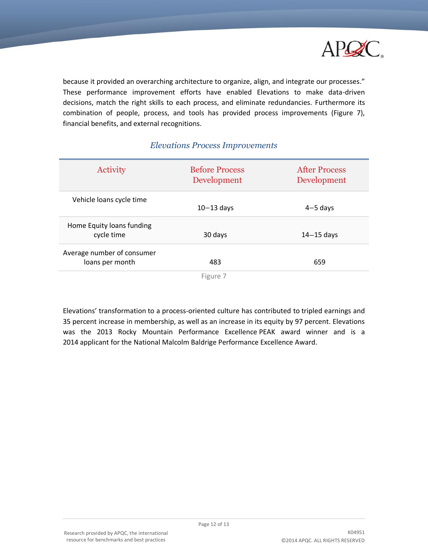

because it provided an overarching architecture to organize, align, and integrate our processes." These performance improvement efforts have enabled Elevations to make data-driven decisions, match the right skills to each process, and eliminate redundancies. Furthermore its combination of people, process, and tools has provided process improvements (Figure 7), financial benefits, and external recognitions.

| Activity                                      | <b>Before Process</b><br>Development | <b>After Process</b><br>Development |
|-----------------------------------------------|--------------------------------------|-------------------------------------|
| Vehicle loans cycle time                      | $10-13$ days                         | $4 - 5$ days                        |
| Home Equity loans funding<br>cycle time       | 30 days                              | $14 - 15$ days                      |
| Average number of consumer<br>loans per month | 483                                  | 659                                 |
|                                               |                                      |                                     |

## *Elevations Process Improvements*

Figure 7

Elevations' transformation to a process-oriented culture has contributed to tripled earnings and 35 percent increase in membership, as well as an increase in its equity by 97 percent. Elevations was the 2013 Rocky Mountain Performance Excellence PEAK award winner and is a 2014 applicant for the National Malcolm Baldrige Performance Excellence Award.